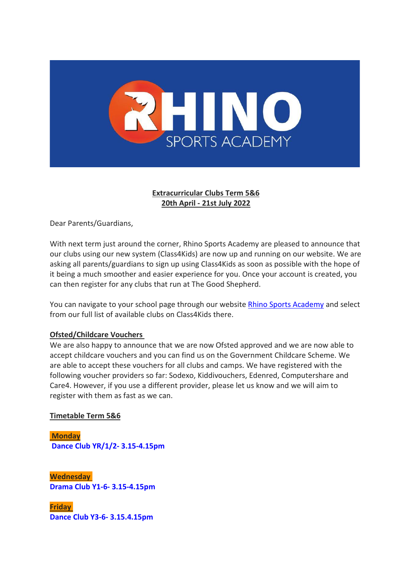

## **Extracurricular Clubs Term 5&6 20th April - 21st July 2022**

Dear Parents/Guardians,

With next term just around the corner, Rhino Sports Academy are pleased to announce that our clubs using our new system (Class4Kids) are now up and running on our website. We are asking all parents/guardians to sign up using Class4Kids as soon as possible with the hope of it being a much smoother and easier experience for you. Once your account is created, you can then register for any clubs that run at The Good Shepherd.

You can navigate to your school page through our website Rhino Sports [Academy](https://gbr01.safelinks.protection.outlook.com/?url=https%3A%2F%2Frhinosportsacademy.co.uk%2Fgood-shepherd%2F&data=04%7C01%7Catreadgoldnelson%40tgs.nor.olicatschools.org%7C7fc962ebc68f44f631d308da0cee6361%7Cebe871265c13464fb0862761a534abfe%7C1%7C0%7C637836515247468784%7CUnknown%7CTWFpbGZsb3d8eyJWIjoiMC4wLjAwMDAiLCJQIjoiV2luMzIiLCJBTiI6Ik1haWwiLCJXVCI6Mn0%3D%7C3000&sdata=4Fe6EA%2FTUdawFhWVlNn7kCApCKPMs%2BPD%2FMYut8R1yJU%3D&reserved=0) and select from our full list of available clubs on Class4Kids there.

## **Ofsted/Childcare Vouchers**

We are also happy to announce that we are now Ofsted approved and we are now able to accept childcare vouchers and you can find us on the Government Childcare Scheme. We are able to accept these vouchers for all clubs and camps. We have registered with the following voucher providers so far: Sodexo, Kiddivouchers, Edenred, Computershare and Care4. However, if you use a different provider, please let us know and we will aim to register with them as fast as we can.

## **Timetable Term 5&6**

**Monday Dance Club YR/1/2- 3.15-4.15pm**

**Wednesday Drama Club Y1-6- 3.15-4.15pm**

**Friday Dance Club Y3-6- 3.15.4.15pm**